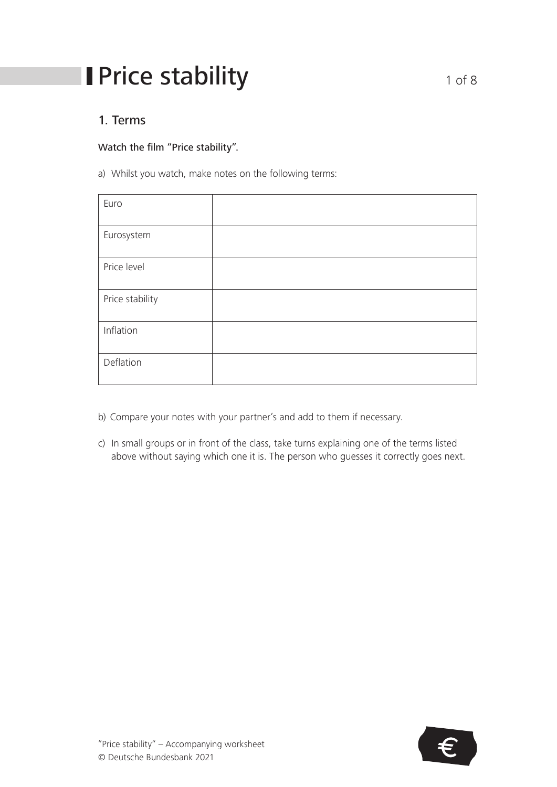# **I** Price stability 1 of 8

### 1. Terms

### Watch the film "Price stability".

a) Whilst you watch, make notes on the following terms:

| Euro            |  |
|-----------------|--|
|                 |  |
| Eurosystem      |  |
|                 |  |
| Price level     |  |
|                 |  |
| Price stability |  |
|                 |  |
| Inflation       |  |
|                 |  |
| Deflation       |  |
|                 |  |
|                 |  |

- b) Compare your notes with your partner's and add to them if necessary.
- c) In small groups or in front of the class, take turns explaining one of the terms listed above without saying which one it is. The person who guesses it correctly goes next.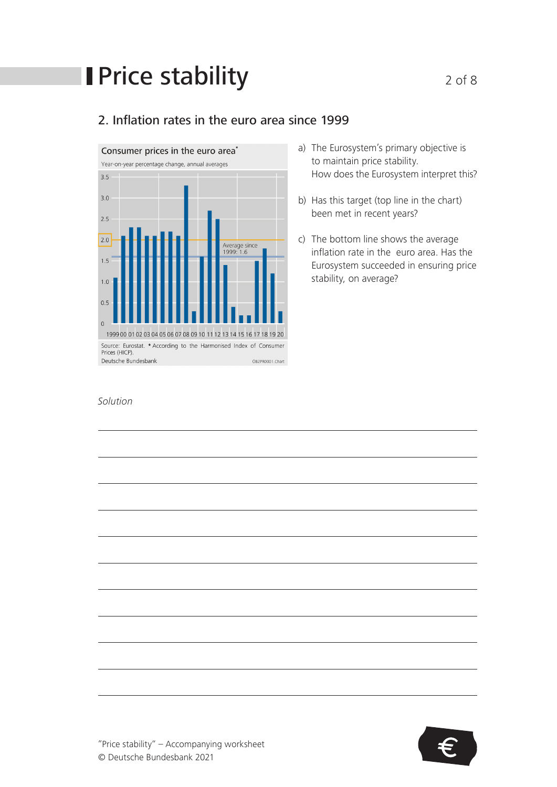# **Price stability** 2 of 8

### 2. Inflation rates in the euro area since 1999



- a) The Eurosystem's primary objective is to maintain price stability. How does the Eurosystem interpret this?
- b) Has this target (top line in the chart) been met in recent years?
- c) The bottom line shows the average inflation rate in the euro area. Has the Eurosystem succeeded in ensuring price stability, on average?

#### *Solution*



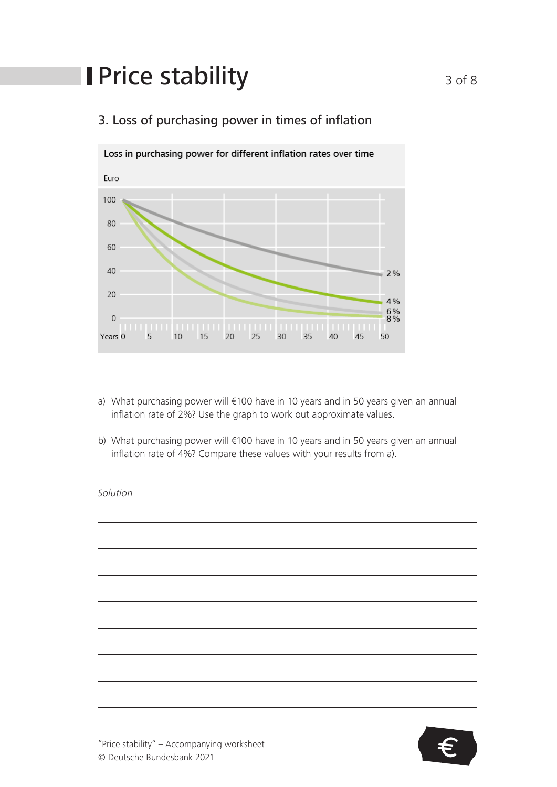# **I** Price stability 3 of 8



### 3. Loss of purchasing power in times of inflation

- a) What purchasing power will €100 have in 10 years and in 50 years given an annual inflation rate of 2%? Use the graph to work out approximate values.
- b) What purchasing power will €100 have in 10 years and in 50 years given an annual inflation rate of 4%? Compare these values with your results from a).

#### *Solution*

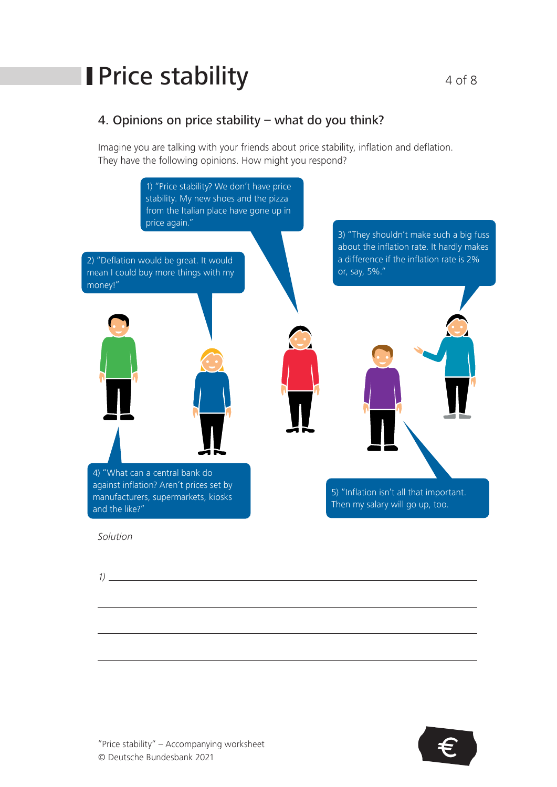# **Price stability**  $4 \circ 6 \circ$

### 4. Opinions on price stability – what do you think?

Imagine you are talking with your friends about price stability, inflation and deflation. They have the following opinions. How might you respond?



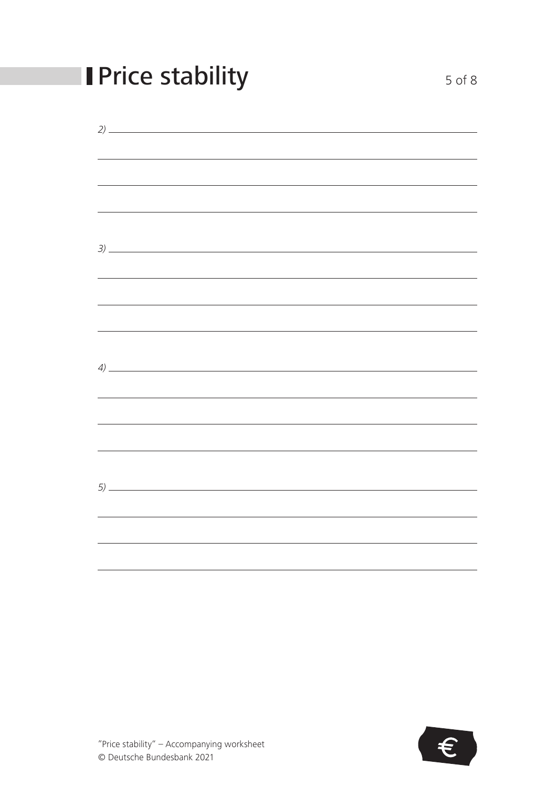| <b>Price stability</b>                                                                                                                                                                                                                                                                                                 | $5$ of $8$ |
|------------------------------------------------------------------------------------------------------------------------------------------------------------------------------------------------------------------------------------------------------------------------------------------------------------------------|------------|
|                                                                                                                                                                                                                                                                                                                        |            |
|                                                                                                                                                                                                                                                                                                                        |            |
| ,我们也不会有什么。""我们的人,我们也不会有什么?""我们的人,我们也不会有什么?""我们的人,我们也不会有什么?""我们的人,我们也不会有什么?""我们的人                                                                                                                                                                                                                                       |            |
|                                                                                                                                                                                                                                                                                                                        |            |
|                                                                                                                                                                                                                                                                                                                        |            |
| ,我们也不能在这里的时候,我们也不能在这里的时候,我们也不能会在这里的时候,我们也不能会在这里的时候,我们也不能会在这里的时候,我们也不能会在这里的时候,我们也不                                                                                                                                                                                                                                      |            |
|                                                                                                                                                                                                                                                                                                                        |            |
| $\left(4\right)$ $\frac{1}{2}$ $\frac{1}{2}$ $\frac{1}{2}$ $\frac{1}{2}$ $\frac{1}{2}$ $\frac{1}{2}$ $\frac{1}{2}$ $\frac{1}{2}$ $\frac{1}{2}$ $\frac{1}{2}$ $\frac{1}{2}$ $\frac{1}{2}$ $\frac{1}{2}$ $\frac{1}{2}$ $\frac{1}{2}$ $\frac{1}{2}$ $\frac{1}{2}$ $\frac{1}{2}$ $\frac{1}{2}$ $\frac{1}{2}$ $\frac{1}{2}$ |            |
|                                                                                                                                                                                                                                                                                                                        |            |
|                                                                                                                                                                                                                                                                                                                        |            |
|                                                                                                                                                                                                                                                                                                                        |            |
| 5)                                                                                                                                                                                                                                                                                                                     |            |
|                                                                                                                                                                                                                                                                                                                        |            |
|                                                                                                                                                                                                                                                                                                                        |            |

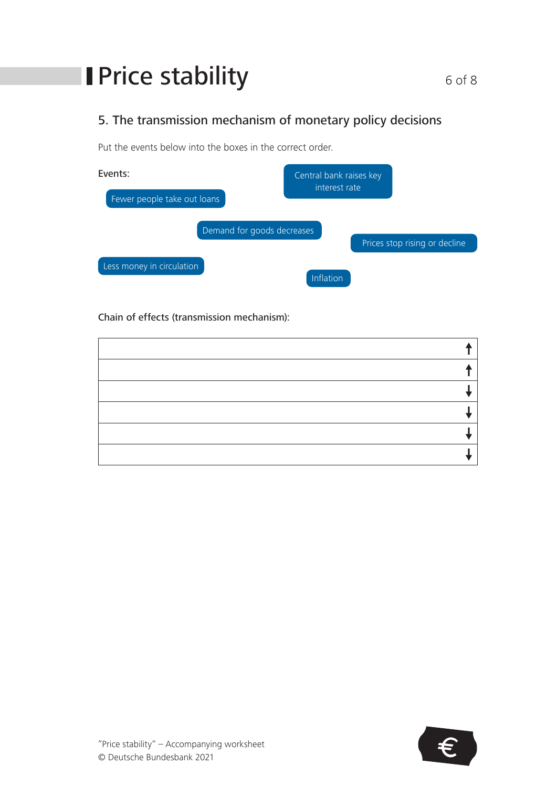# **I** Price stability 6 of 8

## 5. The transmission mechanism of monetary policy decisions

Put the events below into the boxes in the correct order.

| Events:                     | Central bank raises key |                               |
|-----------------------------|-------------------------|-------------------------------|
| Fewer people take out loans | interest rate           |                               |
| Demand for goods decreases  |                         |                               |
|                             |                         | Prices stop rising or decline |
| Less money in circulation   | Inflation               |                               |

Chain of effects (transmission mechanism):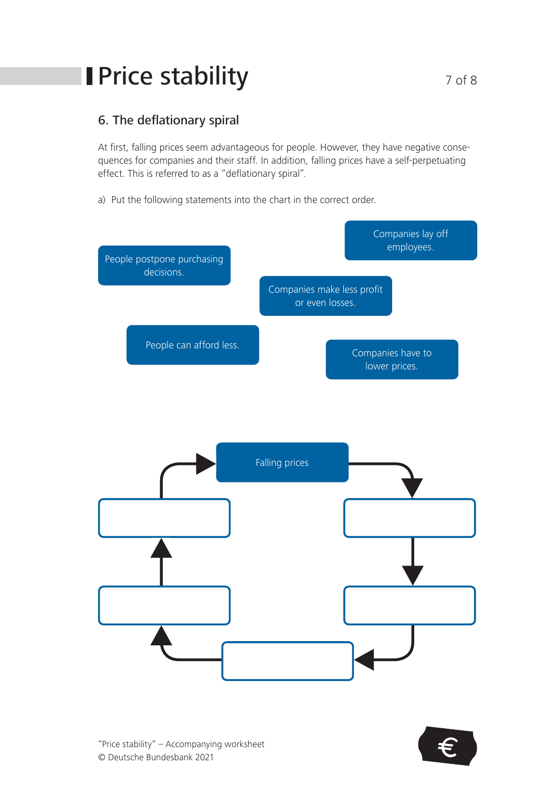# **I** Price stability **1999 120 Price Stability**

### 6. The deflationary spiral

At first, falling prices seem advantageous for people. However, they have negative consequences for companies and their staff. In addition, falling prices have a self-perpetuating effect. This is referred to as a "deflationary spiral".

a) Put the following statements into the chart in the correct order.